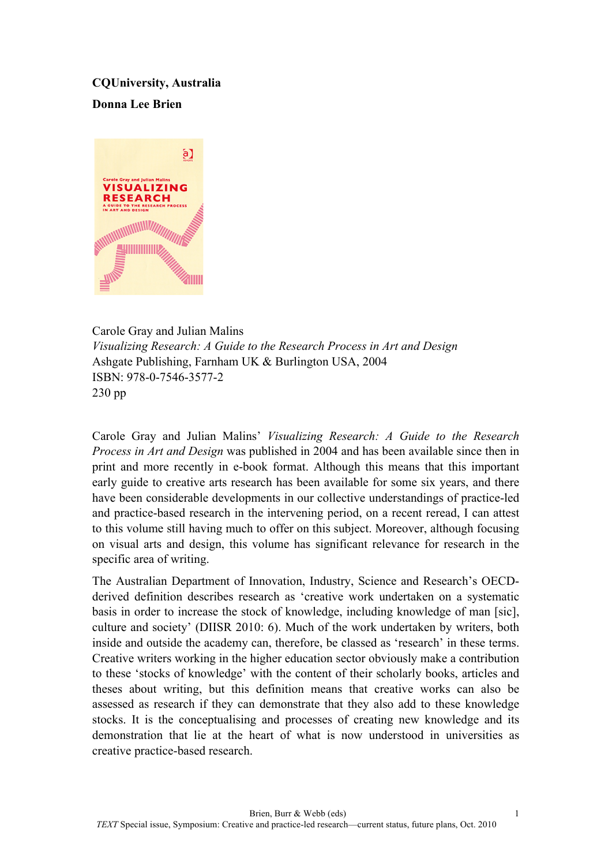## **CQUniversity, Australia**

## **Donna Lee Brien**



Carole Gray and Julian Malins *Visualizing Research: A Guide to the Research Process in Art and Design* Ashgate Publishing, Farnham UK & Burlington USA, 2004 ISBN: 978-0-7546-3577-2 230 pp

Carole Gray and Julian Malins' *Visualizing Research: A Guide to the Research Process in Art and Design* was published in 2004 and has been available since then in print and more recently in e-book format. Although this means that this important early guide to creative arts research has been available for some six years, and there have been considerable developments in our collective understandings of practice-led and practice-based research in the intervening period, on a recent reread, I can attest to this volume still having much to offer on this subject. Moreover, although focusing on visual arts and design, this volume has significant relevance for research in the specific area of writing.

The Australian Department of Innovation, Industry, Science and Research's OECDderived definition describes research as 'creative work undertaken on a systematic basis in order to increase the stock of knowledge, including knowledge of man [sic], culture and society' (DIISR 2010: 6). Much of the work undertaken by writers, both inside and outside the academy can, therefore, be classed as 'research' in these terms. Creative writers working in the higher education sector obviously make a contribution to these 'stocks of knowledge' with the content of their scholarly books, articles and theses about writing, but this definition means that creative works can also be assessed as research if they can demonstrate that they also add to these knowledge stocks. It is the conceptualising and processes of creating new knowledge and its demonstration that lie at the heart of what is now understood in universities as creative practice-based research.

1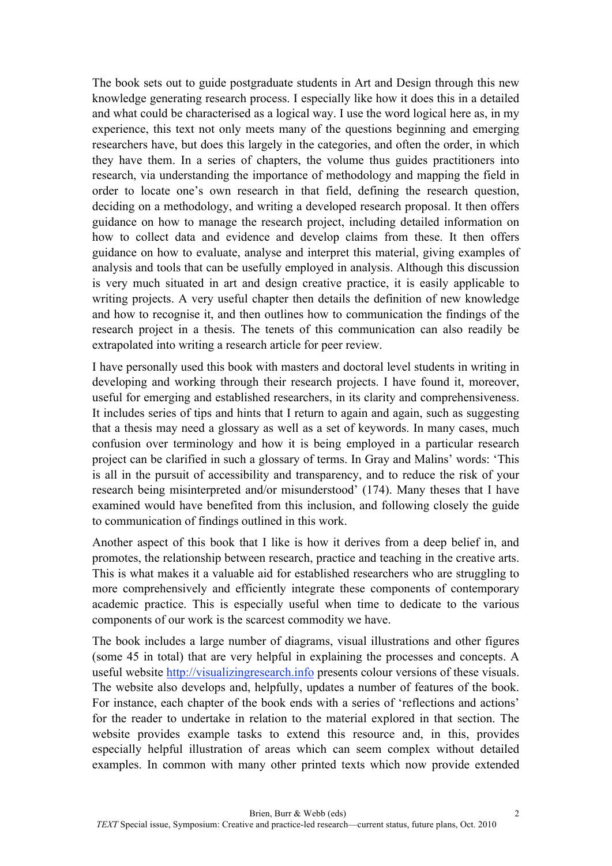The book sets out to guide postgraduate students in Art and Design through this new knowledge generating research process. I especially like how it does this in a detailed and what could be characterised as a logical way. I use the word logical here as, in my experience, this text not only meets many of the questions beginning and emerging researchers have, but does this largely in the categories, and often the order, in which they have them. In a series of chapters, the volume thus guides practitioners into research, via understanding the importance of methodology and mapping the field in order to locate one's own research in that field, defining the research question, deciding on a methodology, and writing a developed research proposal. It then offers guidance on how to manage the research project, including detailed information on how to collect data and evidence and develop claims from these. It then offers guidance on how to evaluate, analyse and interpret this material, giving examples of analysis and tools that can be usefully employed in analysis. Although this discussion is very much situated in art and design creative practice, it is easily applicable to writing projects. A very useful chapter then details the definition of new knowledge and how to recognise it, and then outlines how to communication the findings of the research project in a thesis. The tenets of this communication can also readily be extrapolated into writing a research article for peer review.

I have personally used this book with masters and doctoral level students in writing in developing and working through their research projects. I have found it, moreover, useful for emerging and established researchers, in its clarity and comprehensiveness. It includes series of tips and hints that I return to again and again, such as suggesting that a thesis may need a glossary as well as a set of keywords. In many cases, much confusion over terminology and how it is being employed in a particular research project can be clarified in such a glossary of terms. In Gray and Malins' words: 'This is all in the pursuit of accessibility and transparency, and to reduce the risk of your research being misinterpreted and/or misunderstood' (174). Many theses that I have examined would have benefited from this inclusion, and following closely the guide to communication of findings outlined in this work.

Another aspect of this book that I like is how it derives from a deep belief in, and promotes, the relationship between research, practice and teaching in the creative arts. This is what makes it a valuable aid for established researchers who are struggling to more comprehensively and efficiently integrate these components of contemporary academic practice. This is especially useful when time to dedicate to the various components of our work is the scarcest commodity we have.

The book includes a large number of diagrams, visual illustrations and other figures (some 45 in total) that are very helpful in explaining the processes and concepts. A useful website http://visualizingresearch.info presents colour versions of these visuals. The website also develops and, helpfully, updates a number of features of the book. For instance, each chapter of the book ends with a series of 'reflections and actions' for the reader to undertake in relation to the material explored in that section. The website provides example tasks to extend this resource and, in this, provides especially helpful illustration of areas which can seem complex without detailed examples. In common with many other printed texts which now provide extended